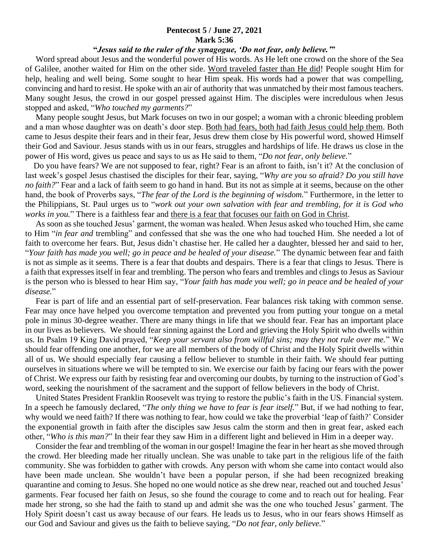## **Pentecost 5 / June 27, 2021 Mark 5:36**

## **"***Jesus said to the ruler of the synagogue, 'Do not fear, only believe.'***"**

 Word spread about Jesus and the wonderful power of His words. As He left one crowd on the shore of the Sea of Galilee, another waited for Him on the other side. Word traveled faster than He did! People sought Him for help, healing and well being. Some sought to hear Him speak. His words had a power that was compelling, convincing and hard to resist. He spoke with an air of authority that was unmatched by their most famous teachers. Many sought Jesus, the crowd in our gospel pressed against Him. The disciples were incredulous when Jesus stopped and asked, "*Who touched my garments?*"

 Many people sought Jesus, but Mark focuses on two in our gospel; a woman with a chronic bleeding problem and a man whose daughter was on death's door step. Both had fears, both had faith Jesus could help them. Both came to Jesus despite their fears and in their fear, Jesus drew them close by His powerful word, showed Himself their God and Saviour. Jesus stands with us in our fears, struggles and hardships of life. He draws us close in the power of His word, gives us peace and says to us as He said to them, "*Do not fear, only believe.*"

 Do you have fears? We are not supposed to fear, right? Fear is an afront to faith, isn't it? At the conclusion of last week's gospel Jesus chastised the disciples for their fear, saying, "*Why are you so afraid? Do you still have no faith?*" Fear and a lack of faith seem to go hand in hand. But its not as simple at it seems, because on the other hand, the book of Proverbs says, "*The fear of the Lord is the beginning of wisdom.*" Furthermore, in the letter to the Philippians, St. Paul urges us to "*work out your own salvation with fear and trembling, for it is God who works in you.*" There is a faithless fear and there is a fear that focuses our faith on God in Christ.

 As soon as she touched Jesus' garment, the woman was healed. When Jesus asked who touched Him, she came to Him "*in fear and* trembling" and confessed that she was the one who had touched Him. She needed a lot of faith to overcome her fears. But, Jesus didn't chastise her. He called her a daughter, blessed her and said to her, "*Your faith has made you well; go in peace and be healed of your disease.*" The dynamic between fear and faith is not as simple as it seems. There is a fear that doubts and despairs. There is a fear that clings to Jesus. There is a faith that expresses itself in fear and trembling. The person who fears and trembles and clings to Jesus as Saviour is the person who is blessed to hear Him say, "*Your faith has made you well; go in peace and be healed of your disease.*"

 Fear is part of life and an essential part of self-preservation. Fear balances risk taking with common sense. Fear may once have helped you overcome temptation and prevented you from putting your tongue on a metal pole in minus 30-degree weather. There are many things in life that we should fear. Fear has an important place in our lives as believers. We should fear sinning against the Lord and grieving the Holy Spirit who dwells within us. In Psalm 19 King David prayed, "*Keep your servant also from willful sins; may they not rule over me.*" We should fear offending one another, for we are all members of the body of Christ and the Holy Spirit dwells within all of us. We should especially fear causing a fellow believer to stumble in their faith. We should fear putting ourselves in situations where we will be tempted to sin. We exercise our faith by facing our fears with the power of Christ. We express our faith by resisting fear and overcoming our doubts, by turning to the instruction of God's word, seeking the nourishment of the sacrament and the support of fellow believers in the body of Christ.

 United States President Franklin Roosevelt was trying to restore the public's faith in the US. Financial system. In a speech he famously declared, "*The only thing we have to fear is fear itself.*" But, if we had nothing to fear, why would we need faith? If there was nothing to fear, how could we take the proverbial 'leap of faith?' Consider the exponential growth in faith after the disciples saw Jesus calm the storm and then in great fear, asked each other, "*Who is this man?*" In their fear they saw Him in a different light and believed in Him in a deeper way.

 Consider the fear and trembling of the woman in our gospel! Imagine the fear in her heart as she moved through the crowd. Her bleeding made her ritually unclean. She was unable to take part in the religious life of the faith community. She was forbidden to gather with crowds. Any person with whom she came into contact would also have been made unclean. She wouldn't have been a popular person, if she had been recognized breaking quarantine and coming to Jesus. She hoped no one would notice as she drew near, reached out and touched Jesus' garments. Fear focused her faith on Jesus, so she found the courage to come and to reach out for healing. Fear made her strong, so she had the faith to stand up and admit she was the one who touched Jesus' garment. The Holy Spirit doesn't cast us away because of our fears. He leads us to Jesus, who in our fears shows Himself as our God and Saviour and gives us the faith to believe saying, "*Do not fear, only believe.*"